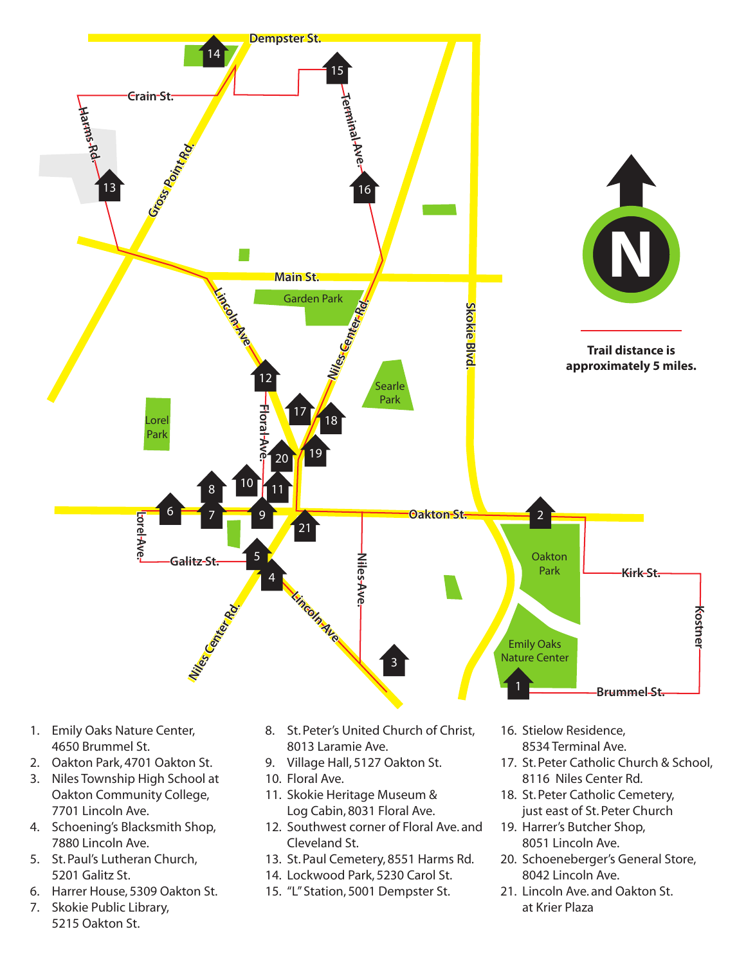

- 4650 Brummel St.
- 2. Oakton Park, 4701 Oakton St.
- 3. Niles Township High School at Oakton Community College, 7701 Lincoln Ave.
- 4. Schoening's Blacksmith Shop, 7880 Lincoln Ave.
- 5. St. Paul's Lutheran Church, 5201 Galitz St.
- 6. Harrer House, 5309 Oakton St.
- 7. Skokie Public Library, 5215 Oakton St.
- 8013 Laramie Ave.
- 9. Village Hall, 5127 Oakton St.
- 10. Floral Ave.
- 11. Skokie Heritage Museum & Log Cabin, 8031 Floral Ave.
- 12. Southwest corner of Floral Ave. and Cleveland St.
- 13. St. Paul Cemetery, 8551 Harms Rd.
- 14. Lockwood Park, 5230 Carol St.
- 15. "L" Station, 5001 Dempster St.
- 8534 Terminal Ave.
- 17. St. Peter Catholic Church & School, 8116 Niles Center Rd.
- 18. St. Peter Catholic Cemetery, just east of St. Peter Church
- 19. Harrer's Butcher Shop, 8051 Lincoln Ave.
- 20. Schoeneberger's General Store, 8042 Lincoln Ave.
- 21. Lincoln Ave. and Oakton St. at Krier Plaza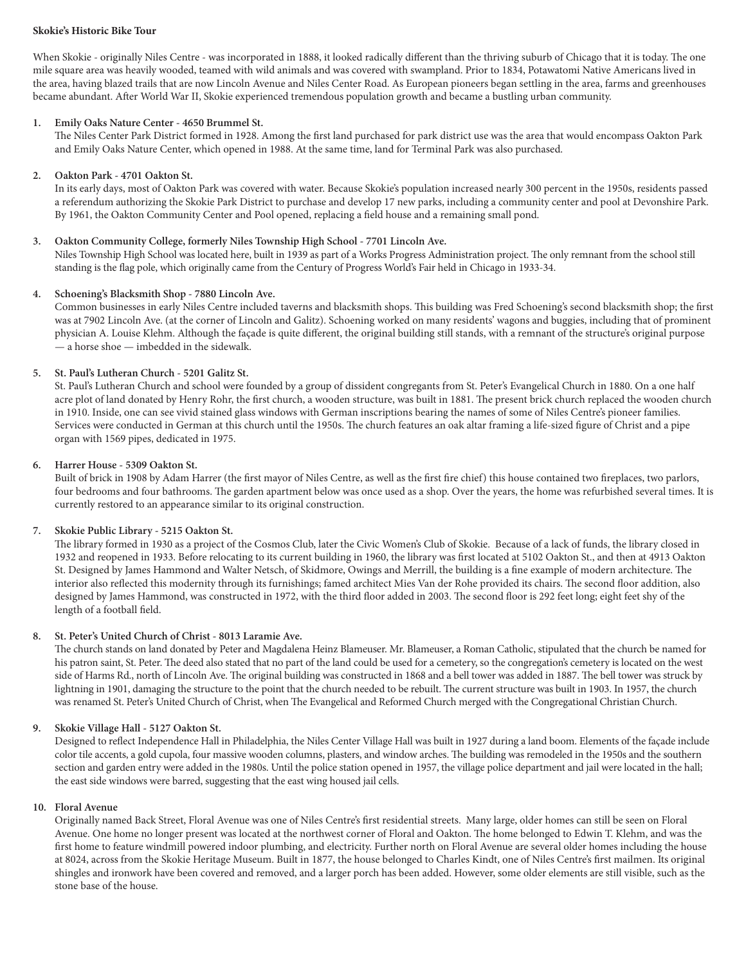## **Skokie's Historic Bike Tour**

When Skokie - originally Niles Centre - was incorporated in 1888, it looked radically different than the thriving suburb of Chicago that it is today. The one mile square area was heavily wooded, teamed with wild animals and was covered with swampland. Prior to 1834, Potawatomi Native Americans lived in the area, having blazed trails that are now Lincoln Avenue and Niles Center Road. As European pioneers began settling in the area, farms and greenhouses became abundant. After World War II, Skokie experienced tremendous population growth and became a bustling urban community.

## **1. Emily Oaks Nature Center - 4650 Brummel St.**

The Niles Center Park District formed in 1928. Among the first land purchased for park district use was the area that would encompass Oakton Park and Emily Oaks Nature Center, which opened in 1988. At the same time, land for Terminal Park was also purchased.

# **2. Oakton Park - 4701 Oakton St.**

In its early days, most of Oakton Park was covered with water. Because Skokie's population increased nearly 300 percent in the 1950s, residents passed a referendum authorizing the Skokie Park District to purchase and develop 17 new parks, including a community center and pool at Devonshire Park. By 1961, the Oakton Community Center and Pool opened, replacing a field house and a remaining small pond.

### **3. Oakton Community College, formerly Niles Township High School - 7701 Lincoln Ave.**

Niles Township High School was located here, built in 1939 as part of a Works Progress Administration project. The only remnant from the school still standing is the flag pole, which originally came from the Century of Progress World's Fair held in Chicago in 1933-34.

## **4. Schoening's Blacksmith Shop - 7880 Lincoln Ave.**

Common businesses in early Niles Centre included taverns and blacksmith shops. This building was Fred Schoening's second blacksmith shop; the first was at 7902 Lincoln Ave. (at the corner of Lincoln and Galitz). Schoening worked on many residents' wagons and buggies, including that of prominent physician A. Louise Klehm. Although the façade is quite different, the original building still stands, with a remnant of the structure's original purpose — a horse shoe — imbedded in the sidewalk.

## **5. St. Paul's Lutheran Church - 5201 Galitz St.**

St. Paul's Lutheran Church and school were founded by a group of dissident congregants from St. Peter's Evangelical Church in 1880. On a one half acre plot of land donated by Henry Rohr, the first church, a wooden structure, was built in 1881. The present brick church replaced the wooden church in 1910. Inside, one can see vivid stained glass windows with German inscriptions bearing the names of some of Niles Centre's pioneer families. Services were conducted in German at this church until the 1950s. The church features an oak altar framing a life-sized figure of Christ and a pipe organ with 1569 pipes, dedicated in 1975.

### **6. Harrer House - 5309 Oakton St.**

Built of brick in 1908 by Adam Harrer (the first mayor of Niles Centre, as well as the first fire chief) this house contained two fireplaces, two parlors, four bedrooms and four bathrooms. The garden apartment below was once used as a shop. Over the years, the home was refurbished several times. It is currently restored to an appearance similar to its original construction.

## **7. Skokie Public Library - 5215 Oakton St.**

The library formed in 1930 as a project of the Cosmos Club, later the Civic Women's Club of Skokie. Because of a lack of funds, the library closed in 1932 and reopened in 1933. Before relocating to its current building in 1960, the library was first located at 5102 Oakton St., and then at 4913 Oakton St. Designed by James Hammond and Walter Netsch, of Skidmore, Owings and Merrill, the building is a fine example of modern architecture. The interior also reflected this modernity through its furnishings; famed architect Mies Van der Rohe provided its chairs. The second floor addition, also designed by James Hammond, was constructed in 1972, with the third floor added in 2003. The second floor is 292 feet long; eight feet shy of the length of a football field.

#### **8. St. Peter's United Church of Christ - 8013 Laramie Ave.**

The church stands on land donated by Peter and Magdalena Heinz Blameuser. Mr. Blameuser, a Roman Catholic, stipulated that the church be named for his patron saint, St. Peter. The deed also stated that no part of the land could be used for a cemetery, so the congregation's cemetery is located on the west side of Harms Rd., north of Lincoln Ave. The original building was constructed in 1868 and a bell tower was added in 1887. The bell tower was struck by lightning in 1901, damaging the structure to the point that the church needed to be rebuilt. The current structure was built in 1903. In 1957, the church was renamed St. Peter's United Church of Christ, when The Evangelical and Reformed Church merged with the Congregational Christian Church.

## **9. Skokie Village Hall - 5127 Oakton St.**

Designed to reflect Independence Hall in Philadelphia, the Niles Center Village Hall was built in 1927 during a land boom. Elements of the façade include color tile accents, a gold cupola, four massive wooden columns, plasters, and window arches. The building was remodeled in the 1950s and the southern section and garden entry were added in the 1980s. Until the police station opened in 1957, the village police department and jail were located in the hall; the east side windows were barred, suggesting that the east wing housed jail cells.

#### **10. Floral Avenue**

Originally named Back Street, Floral Avenue was one of Niles Centre's first residential streets. Many large, older homes can still be seen on Floral Avenue. One home no longer present was located at the northwest corner of Floral and Oakton. The home belonged to Edwin T. Klehm, and was the first home to feature windmill powered indoor plumbing, and electricity. Further north on Floral Avenue are several older homes including the house at 8024, across from the Skokie Heritage Museum. Built in 1877, the house belonged to Charles Kindt, one of Niles Centre's first mailmen. Its original shingles and ironwork have been covered and removed, and a larger porch has been added. However, some older elements are still visible, such as the stone base of the house.